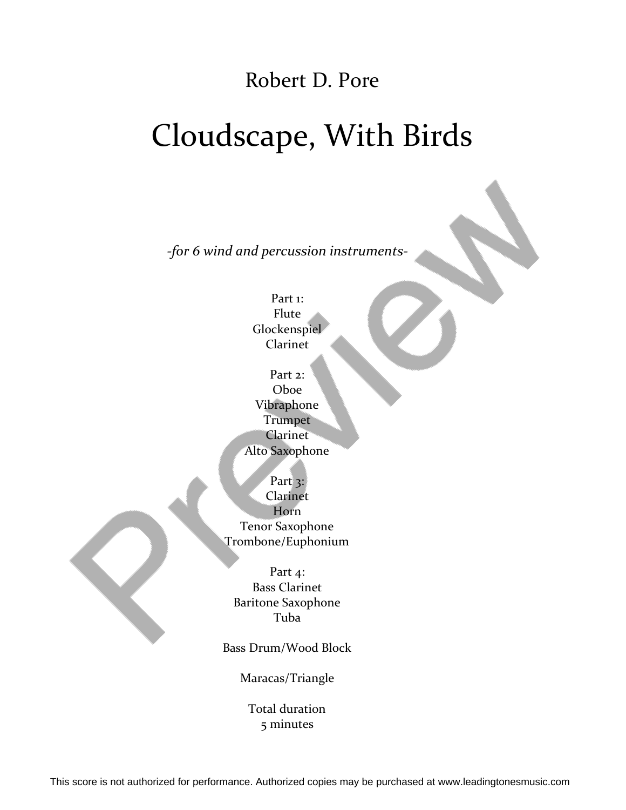## Robert D. Pore

# Cloudscape, With Birds

*-for 6 wind and percussion instruments-*

Part 1: Flute Glockenspiel Clarinet

Part 2: Oboe Vibraphone Trumpet Clarinet Alto Saxophone

Part 3: Clarinet Horn Tenor Saxophone Trombone/Euphonium

Part 4: Bass Clarinet Baritone Saxophone Tuba

Bass Drum/Wood Block

Maracas/Triangle

Total duration 5 minutes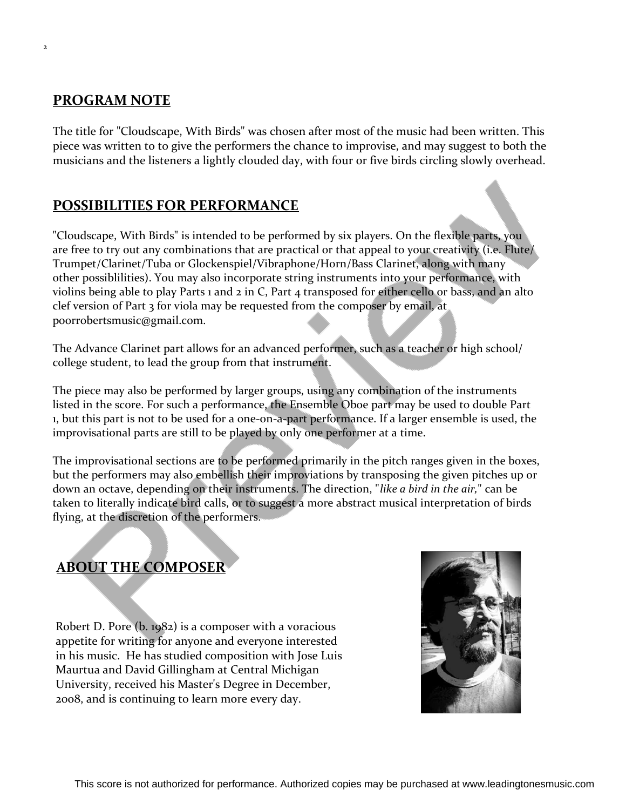#### **PROGRAM NOTE**

The title for "Cloudscape, With Birds" was chosen after most of the music had been written. This piece was written to to give the performers the chance to improvise, and may suggest to both the musicians and the listeners a lightly clouded day, with four or five birds circling slowly overhead.

#### **POSSIBILITIES FOR PERFORMANCE**

"Cloudscape, With Birds" is intended to be performed by six players. On the flexible parts, you are free to try out any combinations that are practical or that appeal to your creativity (i.e. Flute/ Trumpet/Clarinet/Tuba or Glockenspiel/Vibraphone/Horn/Bass Clarinet, along with many other possiblilities). You may also incorporate string instruments into your performance, with violins being able to play Parts 1 and 2 in C, Part 4 transposed for either cello or bass, and an alto clef version of Part 3 for viola may be requested from the composer by email, at poorrobertsmusic@gmail.com.

The Advance Clarinet part allows for an advanced performer, such as a teacher or high school/ college student, to lead the group from that instrument.

The piece may also be performed by larger groups, using any combination of the instruments listed in the score. For such a performance, the Ensemble Oboe part may be used to double Part 1, but this part is not to be used for a one-on-a-part performance. If a larger ensemble is used, the improvisational parts are still to be played by only one performer at a time.

The improvisational sections are to be performed primarily in the pitch ranges given in the boxes, but the performers may also embellish their improviations by transposing the given pitches up or down an octave, depending on their instruments. The direction, "*like a bird in the air,*" can be taken to literally indicate bird calls, or to suggest a more abstract musical interpretation of birds flying, at the discretion of the performers.

### **ABOUT THE COMPOSER**

Robert D. Pore (b. 1982) is a composer with a voracious appetite for writing for anyone and everyone interested in his music. He has studied composition with Jose Luis Maurtua and David Gillingham at Central Michigan University, received his Master's Degree in December, 2008, and is continuing to learn more every day.

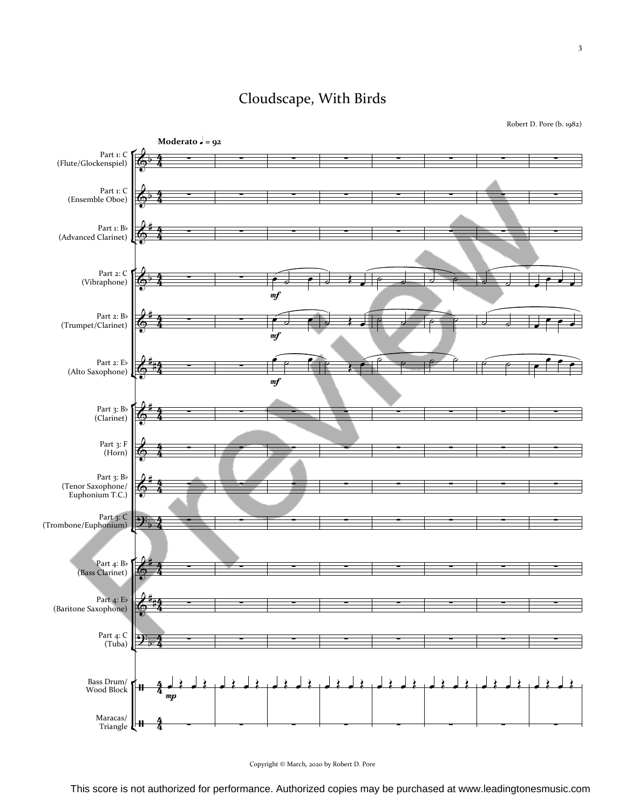Cloudscape, With Birds

Robert D. Pore (b. 1982)



Copyright © March, 2020 by Robert D. Pore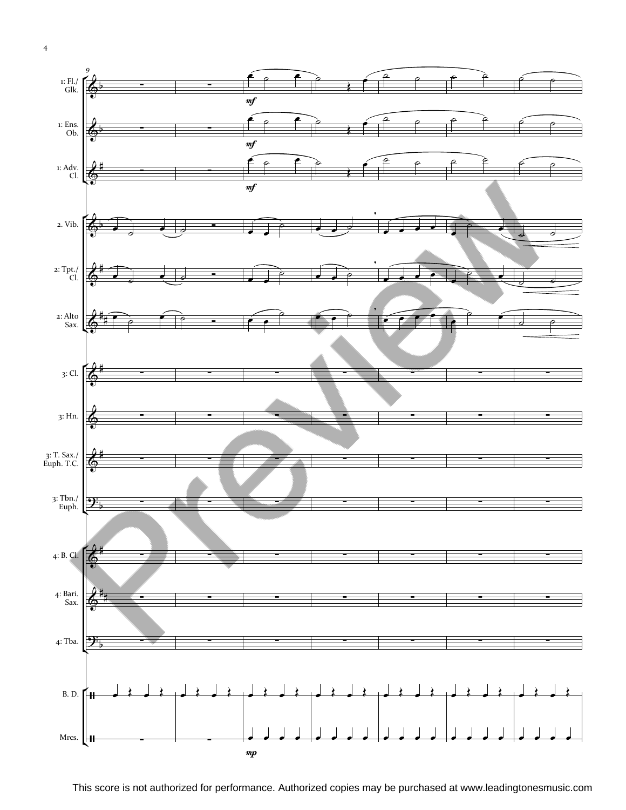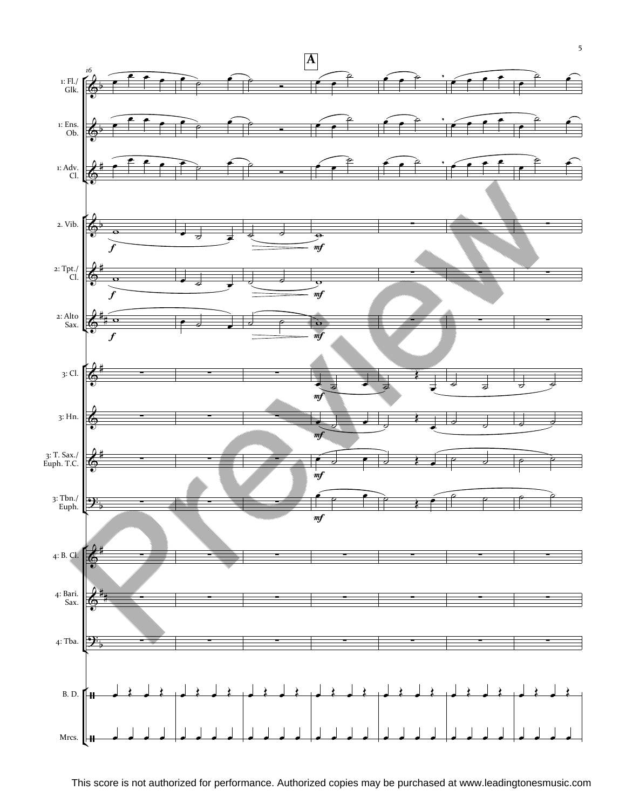

This score is not authorized for performance. Authorized copies may be purchased at www.leadingtonesmusic.com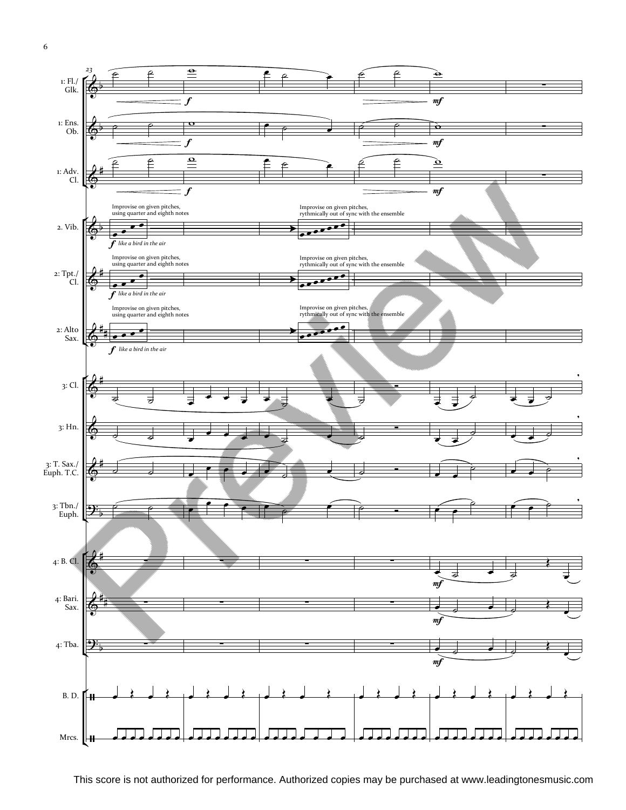

6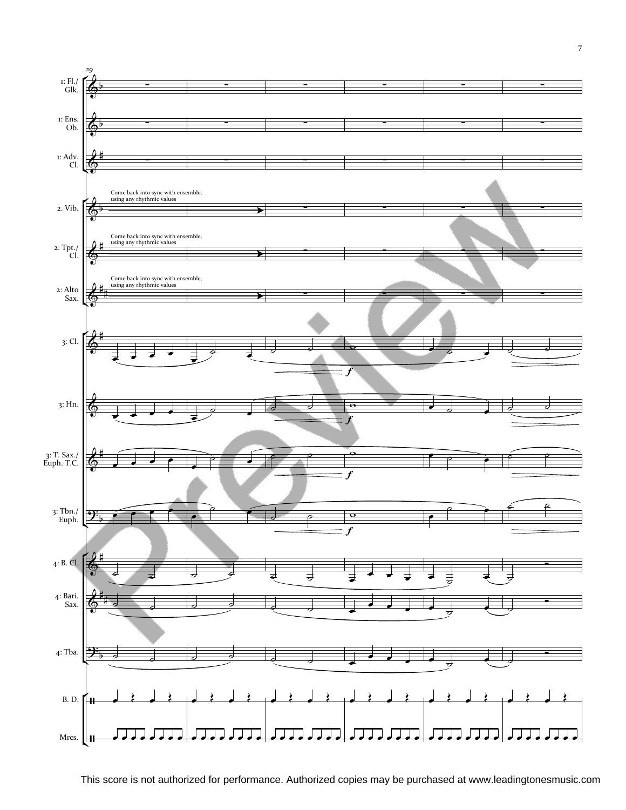

This score is not authorized for performance. Authorized copies may be purchased at www.leadingtonesmusic.com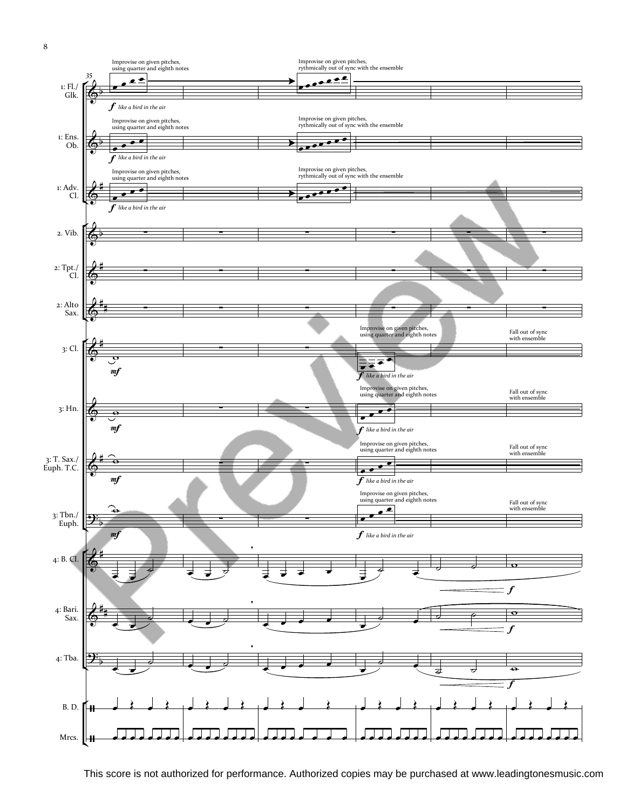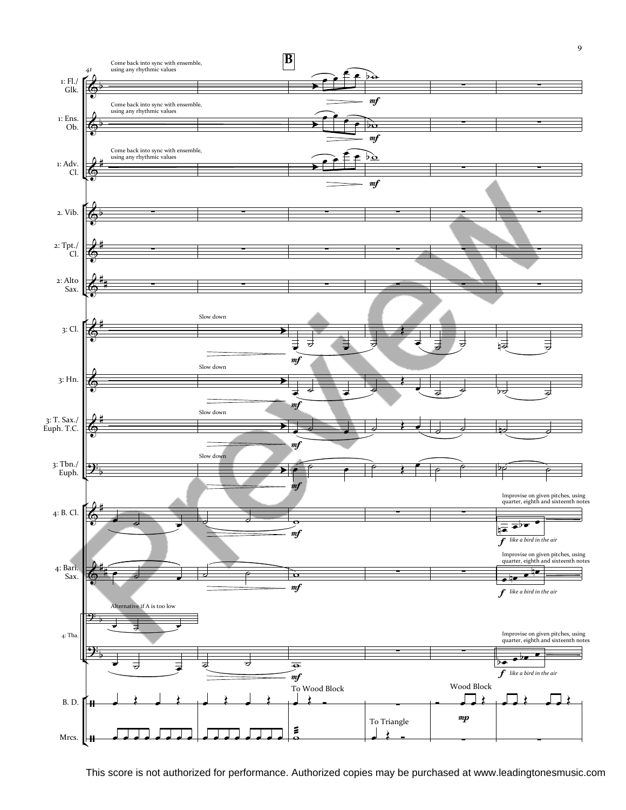

This score is not authorized for performance. Authorized copies may be purchased at www.leadingtonesmusic.com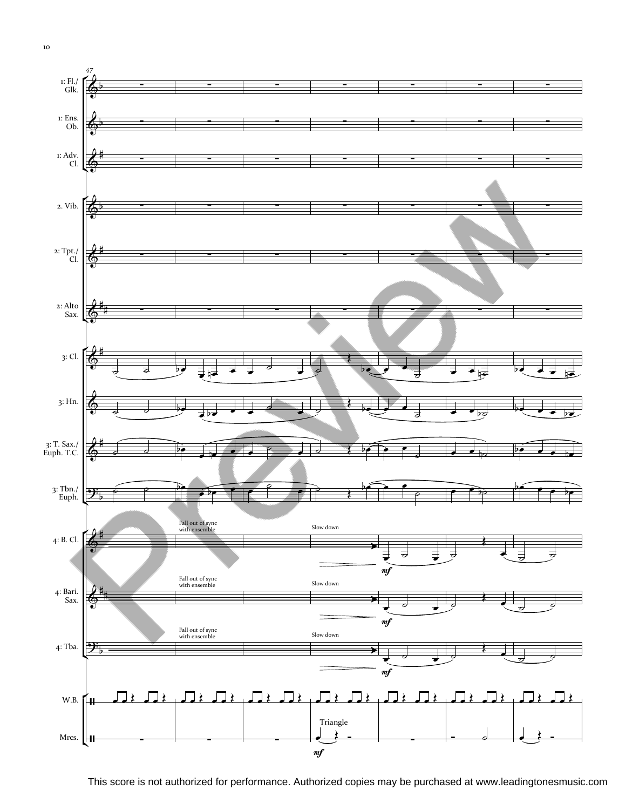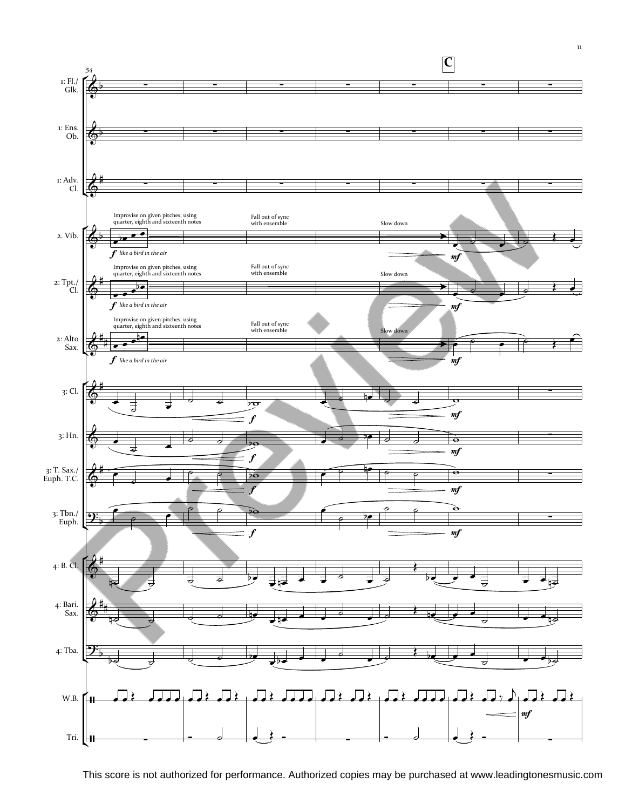

11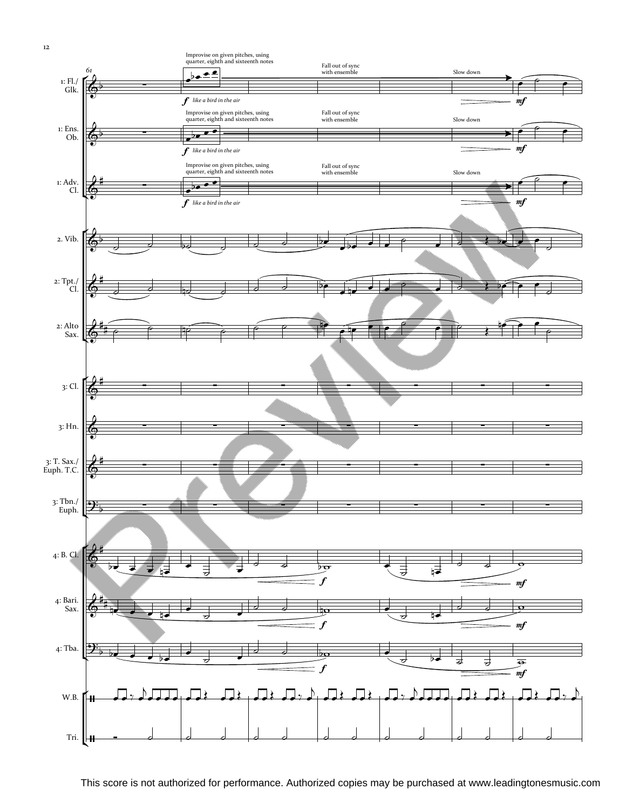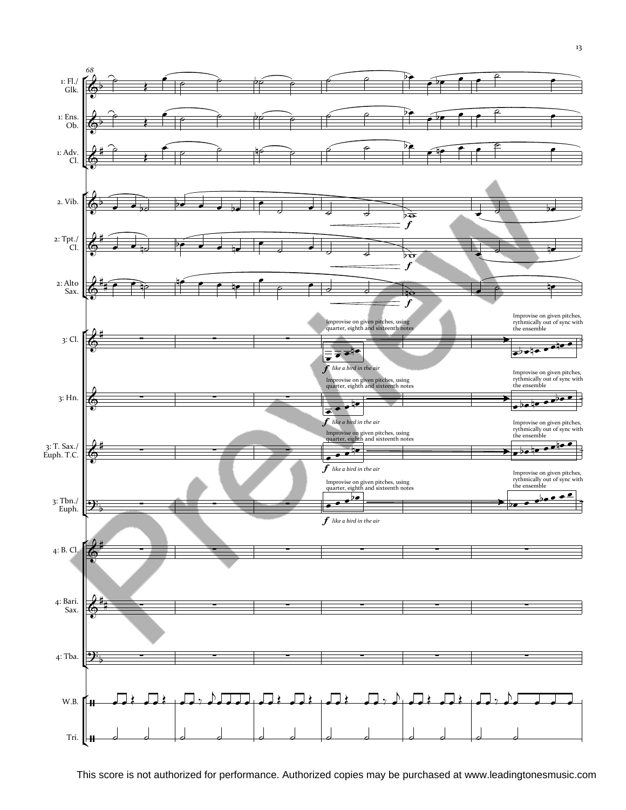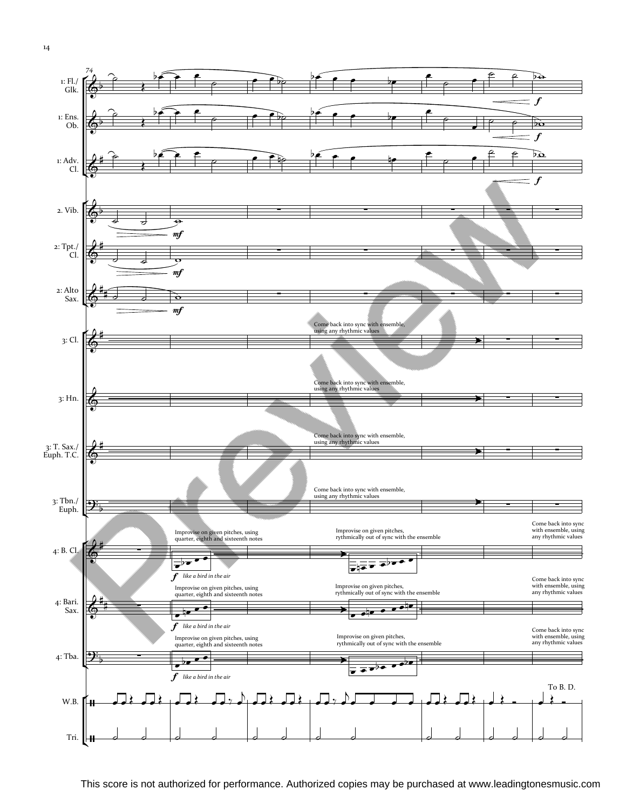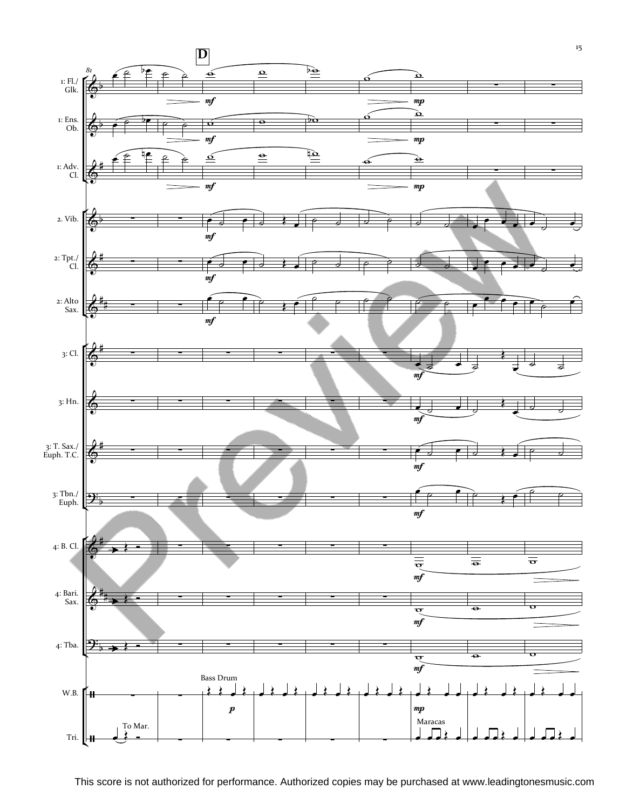

This score is not authorized for performance. Authorized copies may be purchased at www.leadingtonesmusic.com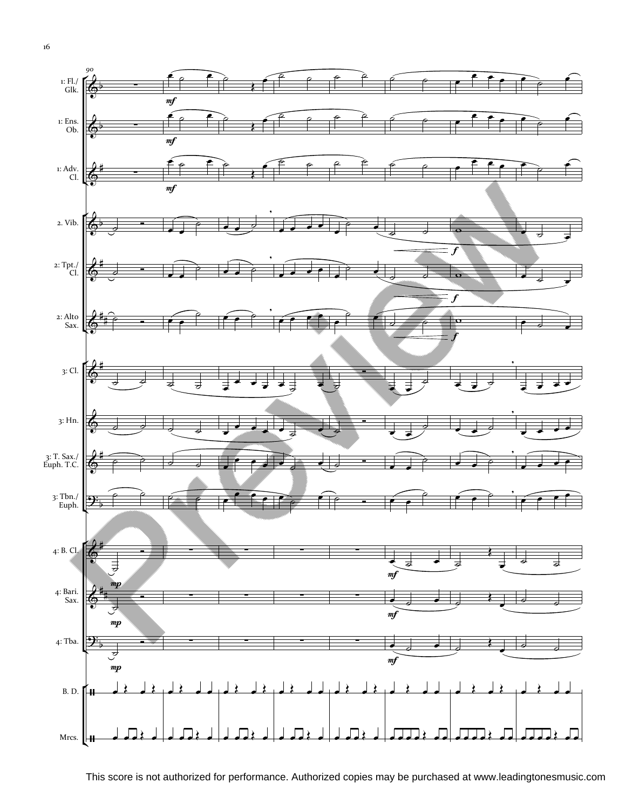

This score is not authorized for performance. Authorized copies may be purchased at www.leadingtonesmusic.com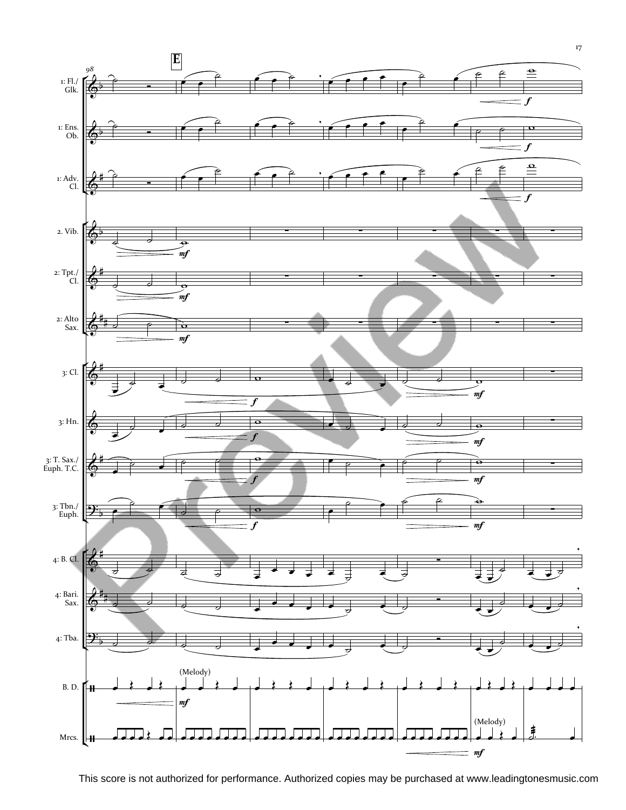

This score is not authorized for performance. Authorized copies may be purchased at www.leadingtonesmusic.com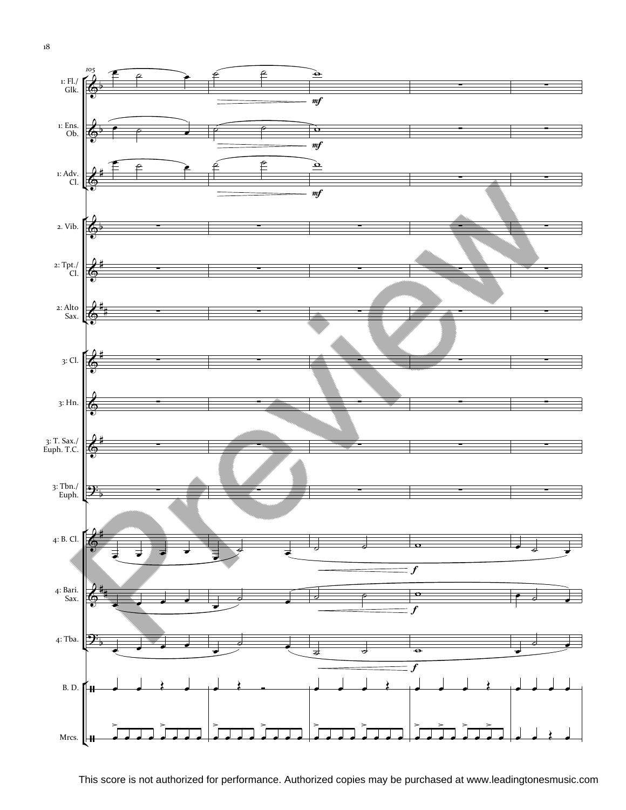